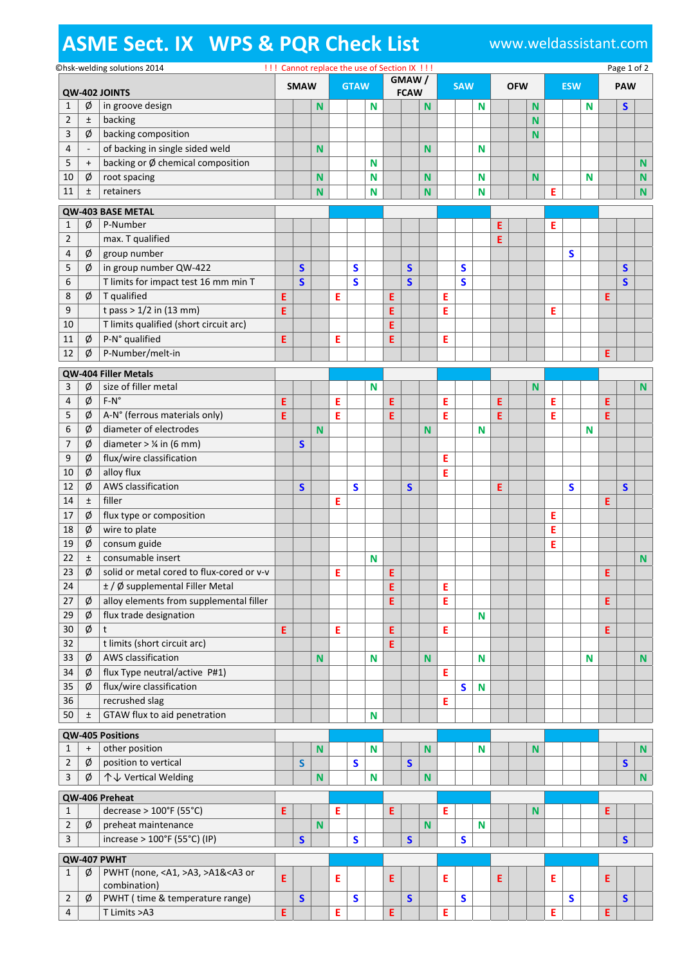## **ASME Sect. IX WPS & PQR Check List** www.weldassistant.com

|                   |                |                                  | ©hsk-welding solutions 2014                                                                                                                                                                                                                               | !!! Cannot replace the use of Section IX !!! |              |             |   |              |                      |   |              |             |   |              |   |            |  |            |   | Page 1 of 2  |            |   |              |             |  |
|-------------------|----------------|----------------------------------|-----------------------------------------------------------------------------------------------------------------------------------------------------------------------------------------------------------------------------------------------------------|----------------------------------------------|--------------|-------------|---|--------------|----------------------|---|--------------|-------------|---|--------------|---|------------|--|------------|---|--------------|------------|---|--------------|-------------|--|
| QW-402 JOINTS     |                |                                  | <b>SMAW</b>                                                                                                                                                                                                                                               |                                              |              | <b>GTAW</b> |   |              | GMAW/<br><b>FCAW</b> |   |              | <b>SAW</b>  |   |              |   | <b>OFW</b> |  | <b>ESW</b> |   |              | <b>PAW</b> |   |              |             |  |
|                   | 1              | ø                                | in groove design                                                                                                                                                                                                                                          |                                              |              | N           |   |              | N                    |   |              | N           |   |              | N |            |  | N          |   |              | N          |   | $\mathsf{s}$ |             |  |
|                   | $\overline{2}$ | $\pm$                            | backing                                                                                                                                                                                                                                                   |                                              |              |             |   |              |                      |   |              |             |   |              |   |            |  | N          |   |              |            |   |              |             |  |
|                   | 3              | Ø                                | backing composition                                                                                                                                                                                                                                       |                                              |              |             |   |              |                      |   |              |             |   |              |   |            |  | N          |   |              |            |   |              |             |  |
|                   | 4              | $\overline{\phantom{a}}$         | of backing in single sided weld                                                                                                                                                                                                                           |                                              |              | N           |   |              |                      |   |              | N           |   |              | N |            |  |            |   |              |            |   |              |             |  |
|                   | 5              | $\begin{array}{c} + \end{array}$ | backing or Ø chemical composition                                                                                                                                                                                                                         |                                              |              |             |   |              | N                    |   |              |             |   |              |   |            |  |            |   |              |            |   |              | N           |  |
|                   | 10             | Ø                                | root spacing                                                                                                                                                                                                                                              |                                              |              | N           |   |              | Ν                    |   |              | N           |   |              | N |            |  | N          |   |              | N          |   |              | ${\bf N}$   |  |
|                   | 11             | Ŧ                                | retainers                                                                                                                                                                                                                                                 |                                              |              | N           |   |              | N                    |   |              | N           |   |              | N |            |  |            | Ε |              |            |   |              | $\mathbf N$ |  |
| QW-403 BASE METAL |                |                                  |                                                                                                                                                                                                                                                           |                                              |              |             |   |              |                      |   |              |             |   |              |   |            |  |            |   |              |            |   |              |             |  |
|                   | 1              | Ø                                | P-Number                                                                                                                                                                                                                                                  |                                              |              |             |   |              |                      |   |              |             |   |              |   | E          |  |            | Ε |              |            |   |              |             |  |
|                   | 2              |                                  | max. T qualified                                                                                                                                                                                                                                          |                                              |              |             |   |              |                      |   |              |             |   |              |   | E          |  |            |   |              |            |   |              |             |  |
|                   | 4              | ø                                | group number                                                                                                                                                                                                                                              |                                              |              |             |   |              |                      |   |              |             |   |              |   |            |  |            |   | $\mathsf{s}$ |            |   |              |             |  |
|                   | 5              | Ø                                | in group number QW-422                                                                                                                                                                                                                                    |                                              | $\mathsf{s}$ |             |   | S            |                      |   | S            |             |   | S            |   |            |  |            |   |              |            |   | S            |             |  |
|                   | 6              |                                  | T limits for impact test 16 mm min T                                                                                                                                                                                                                      |                                              | $\mathsf{s}$ |             |   | $\mathsf{s}$ |                      |   | $\mathsf{s}$ |             |   | $\mathbf S$  |   |            |  |            |   |              |            |   | $\mathsf{s}$ |             |  |
|                   | 8              | Ø                                | T qualified                                                                                                                                                                                                                                               |                                              |              |             |   |              |                      |   |              |             |   |              |   |            |  |            |   |              |            |   |              |             |  |
|                   | 9              |                                  | t pass > $1/2$ in (13 mm)                                                                                                                                                                                                                                 | Ε                                            |              |             | Ε |              |                      | Ε |              |             | Ε |              |   |            |  |            |   |              |            | Ε |              |             |  |
|                   |                |                                  |                                                                                                                                                                                                                                                           | E                                            |              |             |   |              |                      | E |              |             | Ε |              |   |            |  |            | Ε |              |            |   |              |             |  |
|                   | 10             |                                  | T limits qualified (short circuit arc)                                                                                                                                                                                                                    |                                              |              |             |   |              |                      | E |              |             |   |              |   |            |  |            |   |              |            |   |              |             |  |
|                   | 11             | ø                                | P-N° qualified                                                                                                                                                                                                                                            | Ε                                            |              |             | Ε |              |                      | E |              |             | Ε |              |   |            |  |            |   |              |            |   |              |             |  |
|                   | 12             | ø                                | P-Number/melt-in                                                                                                                                                                                                                                          |                                              |              |             |   |              |                      |   |              |             |   |              |   |            |  |            |   |              |            | E |              |             |  |
|                   |                |                                  | QW-404 Filler Metals                                                                                                                                                                                                                                      |                                              |              |             |   |              |                      |   |              |             |   |              |   |            |  |            |   |              |            |   |              |             |  |
|                   | 3              | Ø                                | size of filler metal                                                                                                                                                                                                                                      |                                              |              |             |   |              | N                    |   |              |             |   |              |   |            |  | N          |   |              |            |   |              | ${\bf N}$   |  |
|                   | 4              | ø                                | $F-N^{\circ}$                                                                                                                                                                                                                                             | Ε                                            |              |             | Ε |              |                      | Ε |              |             | Ε |              |   | Ε          |  |            | Ε |              |            | E |              |             |  |
|                   | 5              | ø                                | A-N° (ferrous materials only)                                                                                                                                                                                                                             | E                                            |              |             | Ε |              |                      | E |              |             | Е |              |   | E          |  |            | Ε |              |            | E |              |             |  |
|                   | 6              | Ø                                | diameter of electrodes                                                                                                                                                                                                                                    |                                              |              | N           |   |              |                      |   |              | N           |   |              | N |            |  |            |   |              | N          |   |              |             |  |
|                   | 7              | ø                                | diameter $>$ 1/4 in (6 mm)                                                                                                                                                                                                                                |                                              | $\mathsf{s}$ |             |   |              |                      |   |              |             |   |              |   |            |  |            |   |              |            |   |              |             |  |
|                   | 9              | Ø                                | flux/wire classification                                                                                                                                                                                                                                  |                                              |              |             |   |              |                      |   |              |             | Ε |              |   |            |  |            |   |              |            |   |              |             |  |
|                   | 10             | Ø                                | alloy flux                                                                                                                                                                                                                                                |                                              |              |             |   |              |                      |   |              |             | Ε |              |   |            |  |            |   |              |            |   |              |             |  |
|                   | 12             | ø                                | AWS classification                                                                                                                                                                                                                                        |                                              | S            |             |   | S            |                      |   | S            |             |   |              |   | Ε          |  |            |   | S            |            |   | $\mathsf{s}$ |             |  |
|                   | 14             | $\pm$                            | filler                                                                                                                                                                                                                                                    |                                              |              |             | Ε |              |                      |   |              |             |   |              |   |            |  |            |   |              |            | E |              |             |  |
|                   | 17             | ø                                | flux type or composition                                                                                                                                                                                                                                  |                                              |              |             |   |              |                      |   |              |             |   |              |   |            |  |            | Ε |              |            |   |              |             |  |
|                   | 18             | ø                                | wire to plate                                                                                                                                                                                                                                             |                                              |              |             |   |              |                      |   |              |             |   |              |   |            |  |            | Ε |              |            |   |              |             |  |
|                   | 19             | Ø                                | consum guide                                                                                                                                                                                                                                              |                                              |              |             |   |              |                      |   |              |             |   |              |   |            |  |            | Ε |              |            |   |              |             |  |
|                   | 22             | $\pm$                            | consumable insert                                                                                                                                                                                                                                         |                                              |              |             |   |              | N                    |   |              |             |   |              |   |            |  |            |   |              |            |   |              | N           |  |
|                   | 23             | Ø                                | solid or metal cored to flux-cored or v-v                                                                                                                                                                                                                 |                                              |              |             | Е |              |                      | F |              |             |   |              |   |            |  |            |   |              |            | F |              |             |  |
|                   | 24             |                                  | ± / Ø supplemental Filler Metal                                                                                                                                                                                                                           |                                              |              |             |   |              |                      | Ε |              |             | Ε |              |   |            |  |            |   |              |            |   |              |             |  |
|                   | 27             | ø                                | alloy elements from supplemental filler                                                                                                                                                                                                                   |                                              |              |             |   |              |                      | E |              |             | Е |              |   |            |  |            |   |              |            | E |              |             |  |
|                   | 29             | ø                                | flux trade designation                                                                                                                                                                                                                                    |                                              |              |             |   |              |                      |   |              |             |   |              | N |            |  |            |   |              |            |   |              |             |  |
|                   | 30             | ø                                | $\mathsf{t}$                                                                                                                                                                                                                                              | E                                            |              |             | Ε |              |                      | Ε |              |             | Ε |              |   |            |  |            |   |              |            | Ε |              |             |  |
|                   | 32             |                                  | t limits (short circuit arc)                                                                                                                                                                                                                              |                                              |              |             |   |              |                      | E |              |             |   |              |   |            |  |            |   |              |            |   |              |             |  |
|                   | 33             | Ø                                | AWS classification                                                                                                                                                                                                                                        |                                              |              | N           |   |              | N                    |   |              | N           |   |              | N |            |  |            |   |              | N          |   |              | $\mathbf N$ |  |
|                   | 34             | ø                                | flux Type neutral/active P#1)                                                                                                                                                                                                                             |                                              |              |             |   |              |                      |   |              |             | E |              |   |            |  |            |   |              |            |   |              |             |  |
|                   | 35             | Ø                                | flux/wire classification                                                                                                                                                                                                                                  |                                              |              |             |   |              |                      |   |              |             |   | $\mathsf{s}$ | N |            |  |            |   |              |            |   |              |             |  |
|                   | 36             |                                  | recrushed slag                                                                                                                                                                                                                                            |                                              |              |             |   |              |                      |   |              |             | Ε |              |   |            |  |            |   |              |            |   |              |             |  |
|                   | 50             | $\pm$                            | GTAW flux to aid penetration                                                                                                                                                                                                                              |                                              |              |             |   |              | N                    |   |              |             |   |              |   |            |  |            |   |              |            |   |              |             |  |
|                   |                |                                  |                                                                                                                                                                                                                                                           |                                              |              |             |   |              |                      |   |              |             |   |              |   |            |  |            |   |              |            |   |              |             |  |
|                   |                |                                  | QW-405 Positions                                                                                                                                                                                                                                          |                                              |              |             |   |              |                      |   |              |             |   |              |   |            |  |            |   |              |            |   |              |             |  |
|                   | 1              | $\ddot{}$                        | other position                                                                                                                                                                                                                                            |                                              |              | $\mathsf N$ |   |              | N                    |   |              | $\mathbf N$ |   |              | N |            |  | N          |   |              |            |   |              | $\mathbf N$ |  |
|                   | $\overline{2}$ | Ø                                | position to vertical                                                                                                                                                                                                                                      |                                              | S            |             |   | S            |                      |   | $\mathsf{s}$ |             |   |              |   |            |  |            |   |              |            |   | $\mathsf{s}$ |             |  |
|                   | 3              | ø                                | ↑↓ Vertical Welding                                                                                                                                                                                                                                       |                                              |              | N           |   |              | N                    |   |              | N           |   |              |   |            |  |            |   |              |            |   |              | N           |  |
| QW-406 Preheat    |                |                                  |                                                                                                                                                                                                                                                           |                                              |              |             |   |              |                      |   |              |             |   |              |   |            |  |            |   |              |            |   |              |             |  |
|                   | 1              |                                  | decrease > 100°F (55°C)                                                                                                                                                                                                                                   | E                                            |              |             | Ε |              |                      | E |              |             | Ε |              |   |            |  | N          |   |              |            | E |              |             |  |
|                   | $\mathbf 2$    | Ø                                | preheat maintenance                                                                                                                                                                                                                                       |                                              |              | $\mathsf N$ |   |              |                      |   |              | N           |   |              | N |            |  |            |   |              |            |   |              |             |  |
|                   | $\overline{3}$ |                                  | increase > 100°F (55°C) (IP)                                                                                                                                                                                                                              |                                              | $\mathsf{s}$ |             |   | S            |                      |   | $\mathsf{s}$ |             |   | $\mathsf{s}$ |   |            |  |            |   |              |            |   | $\mathsf{s}$ |             |  |
| QW-407 PWHT       |                |                                  |                                                                                                                                                                                                                                                           |                                              |              |             |   |              |                      |   |              |             |   |              |   |            |  |            |   |              |            |   |              |             |  |
|                   | 1              | Ø                                | PWHT (none, <a1,>A3, &gt;A1&amp;<a3 or<="" td=""><td></td><td></td><td></td><td></td><td></td><td></td><td></td><td></td><td></td><td></td><td></td><td></td><td></td><td></td><td></td><td></td><td></td><td></td><td></td><td></td><td></td></a3></a1,> |                                              |              |             |   |              |                      |   |              |             |   |              |   |            |  |            |   |              |            |   |              |             |  |
|                   |                |                                  | combination)                                                                                                                                                                                                                                              | E                                            |              |             | Ε |              |                      | Ε |              |             | Е |              |   | Ε          |  |            | Ε |              |            | E |              |             |  |
|                   | 2              | Ø                                | PWHT (time & temperature range)                                                                                                                                                                                                                           |                                              | $\mathsf{s}$ |             |   | S            |                      |   | S            |             |   | S            |   |            |  |            |   | S            |            |   | $\mathsf{s}$ |             |  |
|                   | 4              |                                  | T Limits > A3                                                                                                                                                                                                                                             | E                                            |              |             | E |              |                      | E |              |             | E |              |   |            |  |            | E |              |            | E |              |             |  |